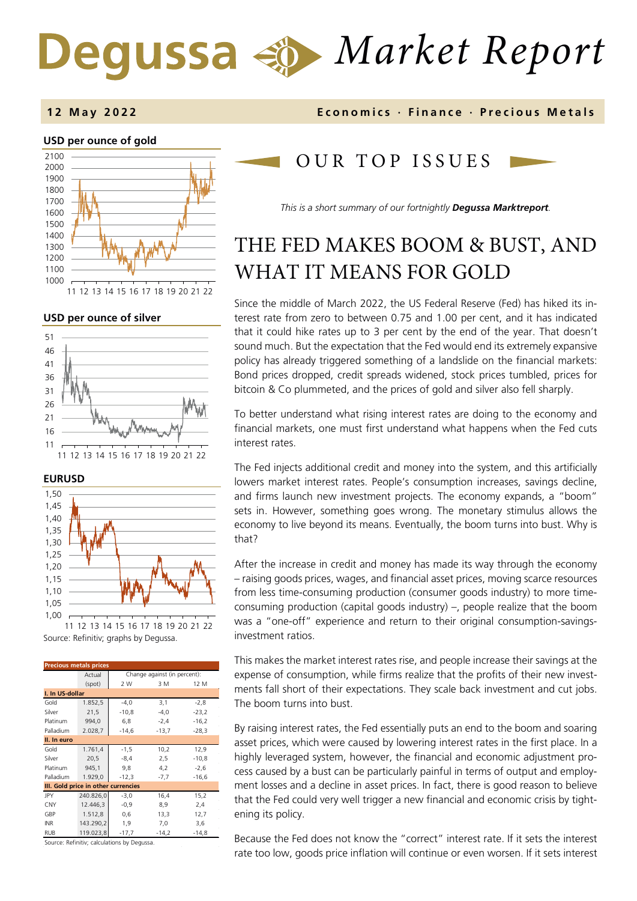# *Market Report* Degussa

# **12 May 202 2 Economics · Finance · Precious Metals**

### **USD per ounce of gold**  1500 1600 1700 1800 1900 2000 2100

### **USD per ounce of silver**



11 12 13 14 15 16 17 18 19 20 21 22

**EURUSD** 



Source: Refinitiv; graphs by Degussa.

| <b>Precious metals prices</b>       |                                                  |                              |         |         |  |  |  |  |
|-------------------------------------|--------------------------------------------------|------------------------------|---------|---------|--|--|--|--|
|                                     | Actual                                           | Change against (in percent): |         |         |  |  |  |  |
|                                     | (spot)                                           | 2 W                          | 3 M     | 12 M    |  |  |  |  |
| I. In US-dollar                     |                                                  |                              |         |         |  |  |  |  |
| Gold                                | 1.852,5                                          | $-4,0$                       | 3,1     | $-2,8$  |  |  |  |  |
| Silver                              | 21,5                                             | $-10,8$                      | $-4,0$  | $-23,2$ |  |  |  |  |
| Platinum                            | 994,0                                            | 6,8                          | $-2,4$  | $-16,2$ |  |  |  |  |
| Palladium                           | 2.028,7                                          | $-14,6$                      | $-13,7$ | $-28,3$ |  |  |  |  |
| II. In euro                         |                                                  |                              |         |         |  |  |  |  |
| Gold                                | 1.761,4                                          | $-1,5$                       | 10,2    | 12,9    |  |  |  |  |
| Silver                              | 20,5                                             | $-8,4$                       | 2,5     | $-10,8$ |  |  |  |  |
| Platinum                            | 945,1                                            | 9,8                          | 4,2     | $-2,6$  |  |  |  |  |
| Palladium                           | 1.929,0                                          | $-12,3$                      | $-7,7$  | $-16,6$ |  |  |  |  |
| III. Gold price in other currencies |                                                  |                              |         |         |  |  |  |  |
| JPY                                 | 240.826,0                                        | $-3,0$                       | 16,4    | 15,2    |  |  |  |  |
| <b>CNY</b>                          | 12.446,3                                         | $-0,9$                       | 8,9     | 2,4     |  |  |  |  |
| GBP                                 | 1.512,8                                          | 0,6                          | 13,3    | 12,7    |  |  |  |  |
| <b>INR</b>                          | 143.290,2                                        | 1,9                          | 7,0     | 3,6     |  |  |  |  |
| <b>RUB</b>                          | 119.023,8                                        | $-17,7$                      | $-14,2$ | $-14,8$ |  |  |  |  |
|                                     | where the committee of the committee of the com- |                              |         |         |  |  |  |  |

Source: Refinitiv; calculations by Degussa.

# OUR TOP ISSUE S

*This is a short summary of our fortnightly Degussa Marktreport.* 

# THE FED MAKES BOOM & BUST, AND WHAT IT MEANS FOR GOLD

Since the middle of March 2022, the US Federal Reserve (Fed) has hiked its interest rate from zero to between 0.75 and 1.00 per cent, and it has indicated that it could hike rates up to 3 per cent by the end of the year. That doesn't sound much. But the expectation that the Fed would end its extremely expansive policy has already triggered something of a landslide on the financial markets: Bond prices dropped, credit spreads widened, stock prices tumbled, prices for bitcoin & Co plummeted, and the prices of gold and silver also fell sharply.

To better understand what rising interest rates are doing to the economy and financial markets, one must first understand what happens when the Fed cuts interest rates.

The Fed injects additional credit and money into the system, and this artificially lowers market interest rates. People's consumption increases, savings decline, and firms launch new investment projects. The economy expands, a "boom" sets in. However, something goes wrong. The monetary stimulus allows the economy to live beyond its means. Eventually, the boom turns into bust. Why is that?

After the increase in credit and money has made its way through the economy – raising goods prices, wages, and financial asset prices, moving scarce resources from less time-consuming production (consumer goods industry) to more timeconsuming production (capital goods industry) –, people realize that the boom was a "one-off" experience and return to their original consumption-savingsinvestment ratios.

This makes the market interest rates rise, and people increase their savings at the expense of consumption, while firms realize that the profits of their new investments fall short of their expectations. They scale back investment and cut jobs. The boom turns into bust.

By raising interest rates, the Fed essentially puts an end to the boom and soaring asset prices, which were caused by lowering interest rates in the first place. In a highly leveraged system, however, the financial and economic adjustment process caused by a bust can be particularly painful in terms of output and employment losses and a decline in asset prices. In fact, there is good reason to believe that the Fed could very well trigger a new financial and economic crisis by tightening its policy.

Because the Fed does not know the "correct" interest rate. If it sets the interest rate too low, goods price inflation will continue or even worsen. If it sets interest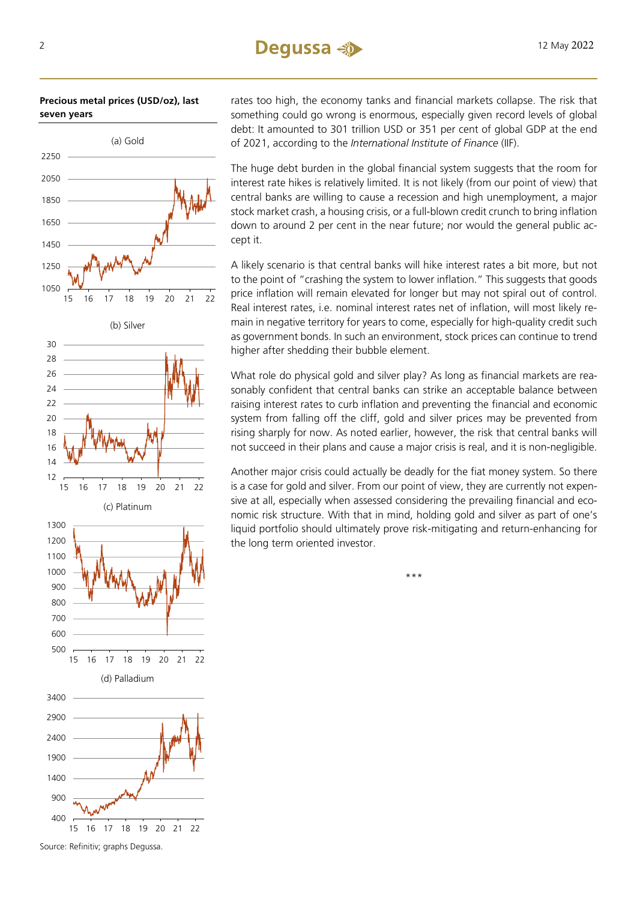**Precious metal prices (USD/oz), last seven years**



Source: Refinitiv; graphs Degussa.

rates too high, the economy tanks and financial markets collapse. The risk that something could go wrong is enormous, especially given record levels of global debt: It amounted to 301 trillion USD or 351 per cent of global GDP at the end of 2021, according to the *International Institute of Finance* (IIF).

The huge debt burden in the global financial system suggests that the room for interest rate hikes is relatively limited. It is not likely (from our point of view) that central banks are willing to cause a recession and high unemployment, a major stock market crash, a housing crisis, or a full-blown credit crunch to bring inflation down to around 2 per cent in the near future; nor would the general public accept it.

A likely scenario is that central banks will hike interest rates a bit more, but not to the point of "crashing the system to lower inflation." This suggests that goods price inflation will remain elevated for longer but may not spiral out of control. Real interest rates, i.e. nominal interest rates net of inflation, will most likely remain in negative territory for years to come, especially for high-quality credit such as government bonds. In such an environment, stock prices can continue to trend higher after shedding their bubble element.

What role do physical gold and silver play? As long as financial markets are reasonably confident that central banks can strike an acceptable balance between raising interest rates to curb inflation and preventing the financial and economic system from falling off the cliff, gold and silver prices may be prevented from rising sharply for now. As noted earlier, however, the risk that central banks will not succeed in their plans and cause a major crisis is real, and it is non-negligible.

Another major crisis could actually be deadly for the fiat money system. So there is a case for gold and silver. From our point of view, they are currently not expensive at all, especially when assessed considering the prevailing financial and economic risk structure. With that in mind, holding gold and silver as part of one's liquid portfolio should ultimately prove risk-mitigating and return-enhancing for the long term oriented investor.

\*\*\*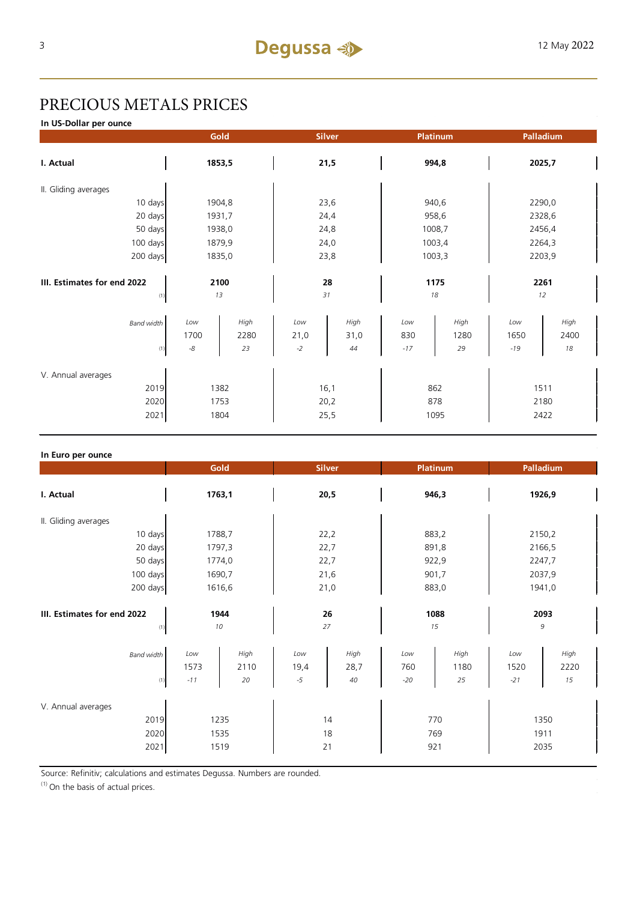# PRECIOUS METALS PRICES

**In US-Dollar per ounce**

|                                            |                            | Gold               | <b>Silver</b>        |                    | Platinum            |                    | Palladium            |                    |  |
|--------------------------------------------|----------------------------|--------------------|----------------------|--------------------|---------------------|--------------------|----------------------|--------------------|--|
| I. Actual                                  |                            | 1853,5             |                      | 21,5               |                     | 994,8              |                      | 2025,7             |  |
| II. Gliding averages                       |                            |                    |                      |                    |                     |                    |                      |                    |  |
| 10 days                                    |                            | 1904,8             | 23,6                 |                    | 940,6               |                    | 2290,0               |                    |  |
| 20 days                                    |                            | 1931,7             | 24,4                 |                    | 958,6               |                    | 2328,6               |                    |  |
| 50 days                                    | 1938,0                     |                    | 24,8                 |                    | 1008,7              |                    | 2456,4               |                    |  |
| 100 days                                   | 1879,9                     |                    | 24,0                 |                    | 1003,4              |                    | 2264,3               |                    |  |
| 200 days                                   | 1835,0                     |                    | 23,8                 |                    | 1003,3              |                    | 2203,9               |                    |  |
|                                            |                            |                    |                      |                    |                     |                    |                      |                    |  |
| III. Estimates for end 2022                | 2100                       |                    | 28                   |                    | 1175                |                    | 2261                 |                    |  |
| (1)                                        |                            | 13                 |                      | 31                 | 18                  |                    |                      | 12                 |  |
| <b>Band width</b><br>(1)                   | Low<br>1700<br>$\text{-}8$ | High<br>2280<br>23 | Low<br>21,0<br>$-2$  | High<br>31,0<br>44 | Low<br>830<br>$-17$ | High<br>1280<br>29 | Low<br>1650<br>$-19$ | High<br>2400<br>18 |  |
| V. Annual averages<br>2019<br>2020<br>2021 | 1382<br>1753<br>1804       |                    | 16,1<br>20,2<br>25,5 |                    | 862<br>878<br>1095  |                    | 1511<br>2180<br>2422 |                    |  |

| In Euro per ounce                  |                      |                    |                     |                    |                     |                    |                      |                    |
|------------------------------------|----------------------|--------------------|---------------------|--------------------|---------------------|--------------------|----------------------|--------------------|
|                                    | Gold                 |                    | <b>Silver</b>       |                    | Platinum            |                    | Palladium            |                    |
| I. Actual                          | 1763,1               |                    | 20,5                |                    | 946,3               |                    | 1926,9               |                    |
| II. Gliding averages               |                      |                    |                     |                    |                     |                    |                      |                    |
| 10 days                            | 1788,7               |                    | 22,2                |                    | 883,2               |                    | 2150,2               |                    |
| 20 days                            | 1797,3               |                    | 22,7                |                    | 891,8               |                    | 2166,5               |                    |
| 50 days                            | 1774,0               |                    | 22,7                |                    | 922,9               |                    | 2247,7               |                    |
| 100 days                           | 1690,7               |                    | 21,6                |                    | 901,7               |                    | 2037,9               |                    |
| 200 days                           | 1616,6               |                    | 21,0                |                    | 883,0               |                    | 1941,0               |                    |
| III. Estimates for end 2022        | 1944<br>10           |                    | 26<br>27            |                    | 1088<br>15          |                    | 2093<br>9            |                    |
| (1)                                |                      |                    |                     |                    |                     |                    |                      |                    |
| <b>Band width</b><br>(1)           | Low<br>1573<br>$-11$ | High<br>2110<br>20 | Low<br>19,4<br>$-5$ | High<br>28,7<br>40 | Low<br>760<br>$-20$ | High<br>1180<br>25 | Low<br>1520<br>$-21$ | High<br>2220<br>15 |
| V. Annual averages<br>2019<br>2020 | 1235<br>1535         |                    | 14<br>18            |                    | 770<br>769          |                    | 1350<br>1911         |                    |
|                                    | 2021<br>1519         |                    | 21                  |                    |                     | 921                | 2035                 |                    |

Source: Refinitiv; calculations and estimates Degussa. Numbers are rounded.

 $(1)$  On the basis of actual prices.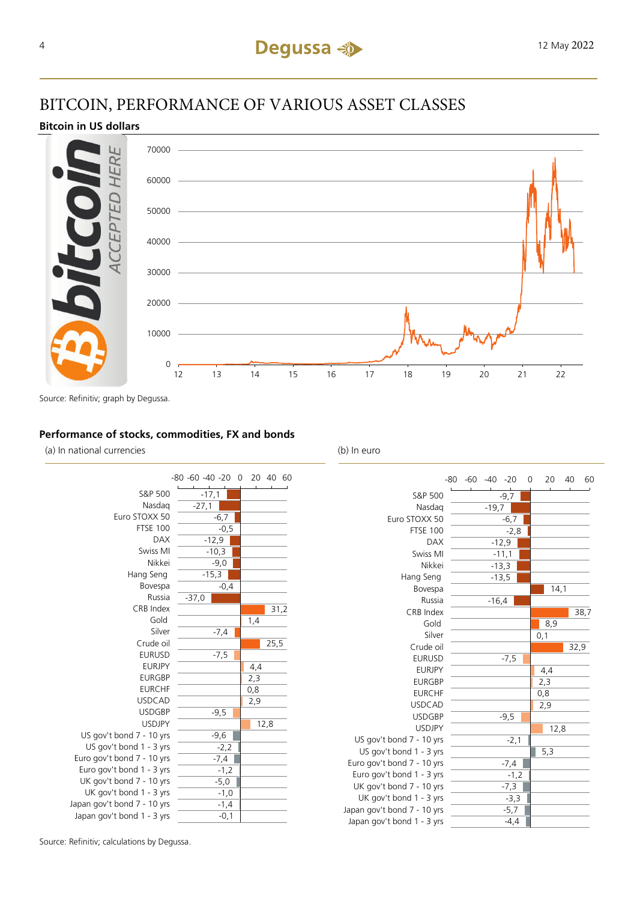# BITCOIN, PERFORMANCE OF VARIOUS ASSET CLASSES

### **Bitcoin in US dollars**



Source: Refinitiv; graph by Degussa.

## **Performance of stocks, commodities, FX and bonds**

(a) In national currencies (b) In euro



|                             | $-80 -60 -40 -20$ |         |         | 0 | 20  | 40   |      | 60 |
|-----------------------------|-------------------|---------|---------|---|-----|------|------|----|
| S&P 500                     |                   |         | $-9,7$  |   |     |      |      |    |
| Nasdag                      |                   | $-19,7$ |         |   |     |      |      |    |
| Euro STOXX 50               |                   |         | $-6,7$  |   |     |      |      |    |
| <b>FTSE 100</b>             |                   |         | $-2,8$  |   |     |      |      |    |
| <b>DAX</b>                  |                   |         | $-12,9$ |   |     |      |      |    |
| Swiss MI                    |                   |         | $-11,1$ |   |     |      |      |    |
| Nikkei                      |                   |         | $-13,3$ |   |     |      |      |    |
| Hang Seng                   |                   |         | $-13,5$ |   |     |      |      |    |
| Bovespa                     |                   |         |         |   |     | 14,1 |      |    |
| Russia                      |                   | $-16,4$ |         |   |     |      |      |    |
| CRB Index                   |                   |         |         |   |     |      | 38,7 |    |
| Gold                        |                   |         |         |   | 8,9 |      |      |    |
| Silver                      |                   |         |         |   | 0,1 |      |      |    |
| Crude oil                   |                   |         |         |   |     |      | 32,9 |    |
| <b>EURUSD</b>               |                   |         | $-7,5$  |   |     |      |      |    |
| <b>EURJPY</b>               |                   |         |         |   | 4,4 |      |      |    |
| <b>EURGBP</b>               |                   |         |         |   | 2,3 |      |      |    |
| <b>EURCHF</b>               |                   |         |         |   | 0,8 |      |      |    |
| <b>USDCAD</b>               |                   |         |         |   | 2,9 |      |      |    |
| <b>USDGBP</b>               |                   |         | $-9,5$  |   |     |      |      |    |
| <b>USDJPY</b>               |                   |         |         |   |     | 12,8 |      |    |
| US gov't bond 7 - 10 yrs    |                   |         | $-2,1$  |   |     |      |      |    |
| US gov't bond 1 - 3 yrs     |                   |         |         |   | 5,3 |      |      |    |
| Euro gov't bond 7 - 10 yrs  |                   |         | $-7,4$  |   |     |      |      |    |
| Euro gov't bond 1 - 3 yrs   |                   |         | $-1,2$  |   |     |      |      |    |
| UK gov't bond 7 - 10 yrs    |                   |         | $-7,3$  |   |     |      |      |    |
| UK gov't bond 1 - 3 yrs     |                   |         | $-3,3$  |   |     |      |      |    |
| Japan gov't bond 7 - 10 yrs |                   |         | -5,7    |   |     |      |      |    |
| Japan gov't bond 1 - 3 yrs  |                   |         | -4,4    |   |     |      |      |    |

Source: Refinitiv; calculations by Degussa.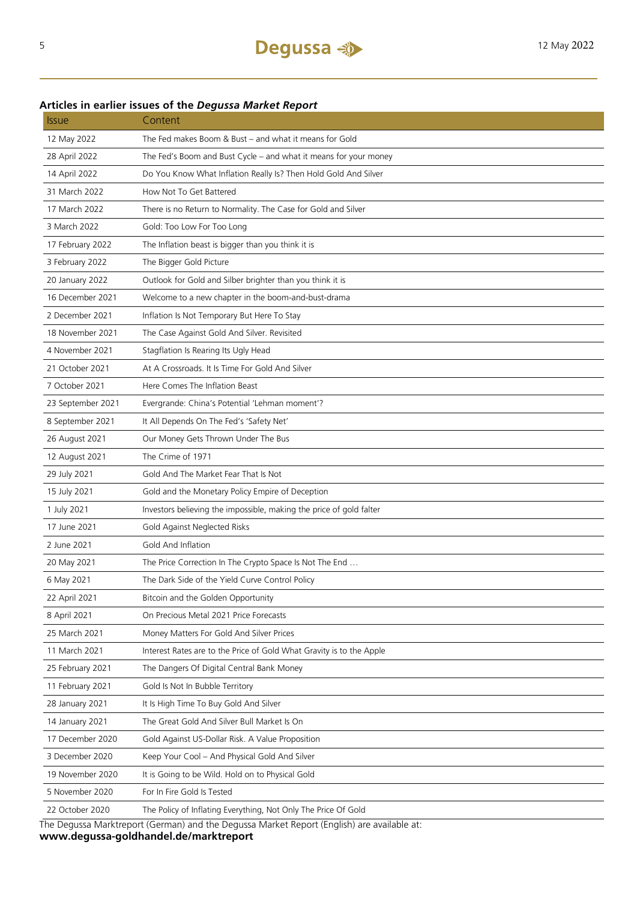# **Articles in earlier issues of the** *Degussa Market Report*

| <i><b>Issue</b></i> | Content                                                                                    |
|---------------------|--------------------------------------------------------------------------------------------|
| 12 May 2022         | The Fed makes Boom & Bust – and what it means for Gold                                     |
| 28 April 2022       | The Fed's Boom and Bust Cycle - and what it means for your money                           |
| 14 April 2022       | Do You Know What Inflation Really Is? Then Hold Gold And Silver                            |
| 31 March 2022       | How Not To Get Battered                                                                    |
| 17 March 2022       | There is no Return to Normality. The Case for Gold and Silver                              |
| 3 March 2022        | Gold: Too Low For Too Long                                                                 |
| 17 February 2022    | The Inflation beast is bigger than you think it is                                         |
| 3 February 2022     | The Bigger Gold Picture                                                                    |
| 20 January 2022     | Outlook for Gold and Silber brighter than you think it is                                  |
| 16 December 2021    | Welcome to a new chapter in the boom-and-bust-drama                                        |
| 2 December 2021     | Inflation Is Not Temporary But Here To Stay                                                |
| 18 November 2021    | The Case Against Gold And Silver. Revisited                                                |
| 4 November 2021     | Stagflation Is Rearing Its Ugly Head                                                       |
| 21 October 2021     | At A Crossroads. It Is Time For Gold And Silver                                            |
| 7 October 2021      | Here Comes The Inflation Beast                                                             |
| 23 September 2021   | Evergrande: China's Potential 'Lehman moment'?                                             |
| 8 September 2021    | It All Depends On The Fed's 'Safety Net'                                                   |
| 26 August 2021      | Our Money Gets Thrown Under The Bus                                                        |
| 12 August 2021      | The Crime of 1971                                                                          |
| 29 July 2021        | Gold And The Market Fear That Is Not                                                       |
| 15 July 2021        | Gold and the Monetary Policy Empire of Deception                                           |
| 1 July 2021         | Investors believing the impossible, making the price of gold falter                        |
| 17 June 2021        | Gold Against Neglected Risks                                                               |
| 2 June 2021         | Gold And Inflation                                                                         |
| 20 May 2021         | The Price Correction In The Crypto Space Is Not The End                                    |
| 6 May 2021          | The Dark Side of the Yield Curve Control Policy                                            |
| 22 April 2021       | Bitcoin and the Golden Opportunity                                                         |
| 8 April 2021        | On Precious Metal 2021 Price Forecasts                                                     |
| 25 March 2021       | Money Matters For Gold And Silver Prices                                                   |
| 11 March 2021       | Interest Rates are to the Price of Gold What Gravity is to the Apple                       |
| 25 February 2021    | The Dangers Of Digital Central Bank Money                                                  |
| 11 February 2021    | Gold Is Not In Bubble Territory                                                            |
| 28 January 2021     | It Is High Time To Buy Gold And Silver                                                     |
| 14 January 2021     | The Great Gold And Silver Bull Market Is On                                                |
| 17 December 2020    | Gold Against US-Dollar Risk. A Value Proposition                                           |
| 3 December 2020     | Keep Your Cool - And Physical Gold And Silver                                              |
| 19 November 2020    | It is Going to be Wild. Hold on to Physical Gold                                           |
| 5 November 2020     | For In Fire Gold Is Tested                                                                 |
| 22 October 2020     | The Policy of Inflating Everything, Not Only The Price Of Gold                             |
|                     | The Degussa Marktreport (German) and the Degussa Market Report (English) are available at: |

The Degussa Marktreport (German) and the Degussa Market Report (English) are available at: **www.degussa-goldhandel.de/marktreport**